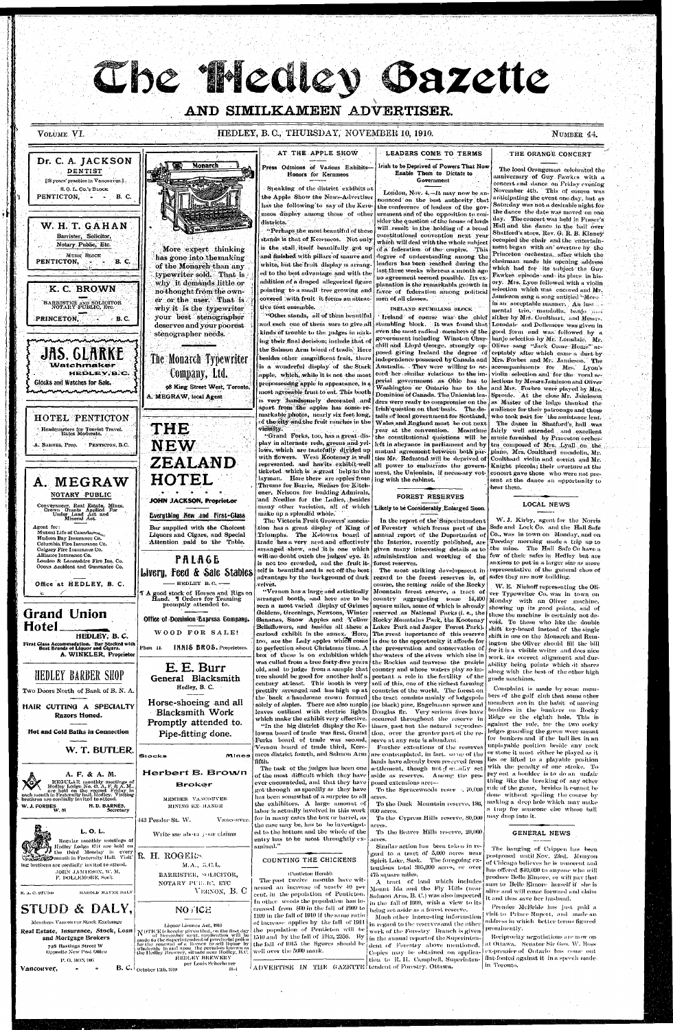# Che Medley Bazette

# AND SIMILKAMEEN ADVERTISER.

## VOLUME VI.

## HEDLEY, B. C., THURSDAY, NOVEMBER 10, 1910.

NUMBER 44.

### Dr. C. A. JACKSON DENTIST [18 years' practice in Vancouver.]. S.O.L. Co.'s BLOCK PENTICTON,  $\label{eq:2.1} \mathcal{L}(\mathbf{z}) = \mathcal{L}(\mathbf{z})$ B. C.

W. H. T. GAHAN Barrister, Solicitor, Notary Public, Etc. MURK BLOCK **B.** C. PENTICTON,

K. C. BROWN BARRISTER AND SOLICITOR<br>NOTARY PUBLIC, ETC. PRINCETON,  $\blacksquare$  B. C.

JAS. GLARKE Watchmaker HEDLEY, B.C. Glocks and Watches for Sale.

HOTEL PENTICTON Headquarters for Tourist Travel.<br>Rates Moderate. A. BARNES, Prop. PENTICTON, B.C.

A. MEGRAW

NOTARY PUBLIC

Conveyancer, Real Estate, Mines,<br>Crown Grants Applied For<br>Under Land Act and<br>Mineral Act.

unnnnaununnin

More expert thinking has gone into the making of the Monarch than any typewriter sold. That is why it demands little or no thought from the own-

Monarch

er or the user. That is why it is the typewriter your best stenographer deserves and your poorest stenographer needs.

# The Monarch Typewriter Company, Ltd. 98 King Street West, Toronto.

A. MEGRAW, local Agent

**THE NEW** ZEALAND HOTEL JOHN JACKSON, Propriet.or

**Everything New and First-Glass** Bar supplied with the Choicest

AT THE APPLE SHOW Press Odmions of Vasious Exhibits-**Honors for Kernmeos** 

Speaking of the district exhibits at the Apple Show the News-Advertiser has the following to say of the Keremeos display among those of other districts.

"Perhaps the most beautiful of these stands is that of Keremeos. Not only is the stall itself beautifully got up and finished with pillars of mauve and white, but the fruit display is arranged to the best advantage and with the addition of a draped allegorical figure pointing to a small tree growing and covered with fruit it forms an attractive tout ensemble.

"Other stands, all of them beautiful and each one of them sure to give all kinds of trouble to the judges in making their final decision; include that of the Salmon Arm board of trade. Here besides other magnificent fruit, there is a wonderful display of the Stark apple, which, while it is not the most prepossessing apple in appearance, is a most agreeable fruit to eat. This booth is very handsomely decorated and apart from the apples has some remarkable photos, nearly six feet long, of the city and the fruit ranches in the vicinity.

"Grand Forks, too, has a great display in alternate reds, greens and yellows, which are tastefully divided up with flowers. West Kootenay is well represented. and has its exhibit well ticketed which is a great help to the layman. Here there are apples from ing with the cabinet. Thrums for Barrie, Sirdars for Kitch ener, Nelsons for budding Admirals, and Needles for the Ladies, besides many other varieties, all of which Likely to be Considerably Enlarged Soon. make up a splendid whole.

The Victoria Fruit Growers' associa-

## LEADERS COME TO TERMS

### Irish to be Deprived of Powers That Now Enable Them to Dictate to Government

London, Nov. 4.-It may now be an nounced on the best authority that the conference of leaders of the government and of the opposition to consider the question of the house of lords will result in the holding of a broad constitutional convention next year which will deal with the whole subject of a federation of the empire. This degree of understanding among the leaders has been reached during the last three weeks whereas a month ago no agreement seemed possible. Its explanation is the remarkabla growth in favor of federation among political men of all classes.

**IRELAND STUMBLING BLOCK** 

Ireland of course was the chief stumbling block. It was found that even the most radical members of the government including Winston Churposed giving Ireland the degree of Australia. They were willing to accord her similar relations to the im- violin selection and for the vocal seperial government as Ohio has to lections by Messrs Jamieson and Oliver Dominion of Canada. The Unionist lea- Sproule. At the close Mr. Jamieson ders were ready to compromise on the as Master of the lodge thanked the Irish question on that basis. The details of local government for Scotland, who took part for the assistance lent. Wales and England must be out next. year at the convention. Meantime fairly well attended and excellent the constitutional questions will be music furnished by Princeton orchesleft in abeyance in parliament and by tra composed of Mrs. Lyall on the mutual agreement between both par- plano, Mrs. Coulthard mandolin, Mr. ties Mr. Redmond will be deprived of all power to embarrass the government, the Unionists, if necessary vot-

# **FOREST RESERVES**

In the report of the Superintendent

## THE ORANGE CONCERT

The local Orangemen celebrated the anniversary of Guy Fawkes with a concert and dance on Friday evening November 4th. This of course was anticipating the event one day, but as Saturday was not a desirable night for the dance the date was moved on one day. The concert was held in Fraser's' Hall and the dance in the hall over Shatford's store. Rev. G. R. B. Kinney occupied the chair and the entertainment began with an' overture by the Princeton orchestra, after which the chairman made his opening address which had for its subject the Guy Fawkes episode and its place in hisory. Mrs. Lyon followed with a violin selection which was encored and Mr. Jamieson sang a song entitled "Monnin an acceptable manner. An inst... mental trio, mandolin, banjo and zither by Mis. Coulthart, and Messis. Lonsdale and Dollemore was given in good form and was followed by a banjo selection by Mr. Lonsdale. Mr. chill and Lloyd George, strongly op- Oliver sang "Jack Come Home" acceptably after which came a duet by independence possessed by Canada and | Mrs. Forbes and Mr. Jamieson, The accompaniments for Mrs. Lyon's Washington or Ontario has to the and Mrs. Forbes were played by Mrs. andience for their patronage and those The dance in Shatford's hall was Coulthard violin and cornet and Mr. Knight piccola; their overture at the concert gave those who were not present at the dance an opportunity to hear them.

 $\mathcal{T}(\mathcal{S})$ 

## LOCAL NEWS

W. J. Kirby, agent for the Norris

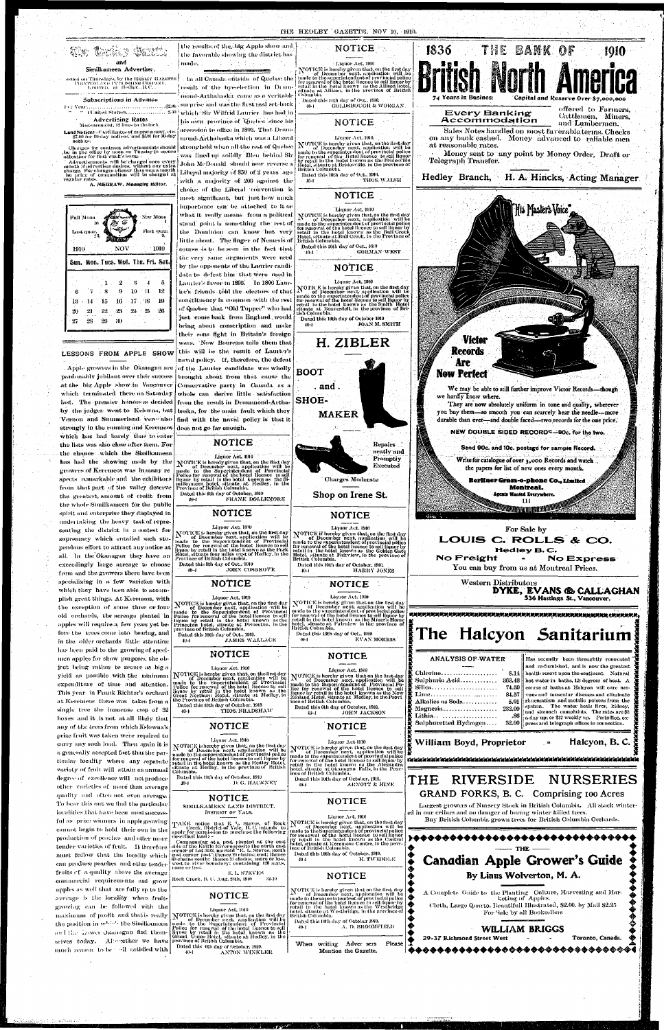



made

 $10 - 1$ 

-40-1

40-1



supremacy which entailed such stupendous effort to attract any notice at all. In the Okanagan they have an exceedingly large acreage to choose from and the growers there have been specializing in a few varieties with which they have been able to accomplish great things. At Keremeos, with the exception of some three or four old orchards, the acreage planted in apples will require a few years yet before the trees come into bearing, and in the older orchards little attention has been paid to the growing of specimen apples for show purposes, the object being rather to secure as big a yield as possible with the minimum expenditure of time and altention. This year in Frank Richter's orchard at Keremeos there was taken from a single tree the immense coop of 32 boxes and it is not at all likely that any of the trees from which Kelowna's prize fruit was taken were required to carry any such load. Then again it is a generally accepted fact that the particular locality where any separate variety of fruit will attain an unusual degree of excellence will not produce other varieties of more than average quality and often not even average. To bear this out we find the particular localities that have been most successful as prize winners in apple growing cannot begin to hold their own in the production of peaches and other more tender varieties of fruit. It therefore must follow that the locality which ean produce peaches and other tender fruits of a quality above the average commercial requirements and grow apples as well that are fully up to the average is the locality where fruitgrowing can be followed with the maximum of profit and that is really the position in which the Similkameen and the Lower Okanogan find themselves today. Alterether we have much reason to be all satisfied with

الايامية فالمروز وكال

undertaking the heavy task of repre-

senting the district in a contest for

notices.

1910

-20

 $27$ 

-21

28

SIMILKAMEEN LAND DISTRICT.

TAKE notice that E. L. Steves, of Rock<br>Creek, District of Yale, B. C. intends to<br>apply for permission to purchase the following<br>described land :--

Commencing at a post planted at the cast<br>side of the Kettle Riveropposite the north cast<br>corper of Lot 3132, marked "E. L. Steves, north carter or not not, mercury, thence 20 chains; east thence<br>60 chains south; thence 20 chains; east thence<br>60 chains south; thence 31 chains, more or less,<br>west to river boundary; containing 120 acres,<br>more or less.

Rock Creek, B. C. Aug. 25th, 1910

MOTICE is been<br>by the means and the superior between the distribution of December next, application will be<br>made to the Superintendent of Provincial<br>Police for renewal of the hotel licence to sell<br>piquor by retail in the h Dated this 6th day of October, 1910.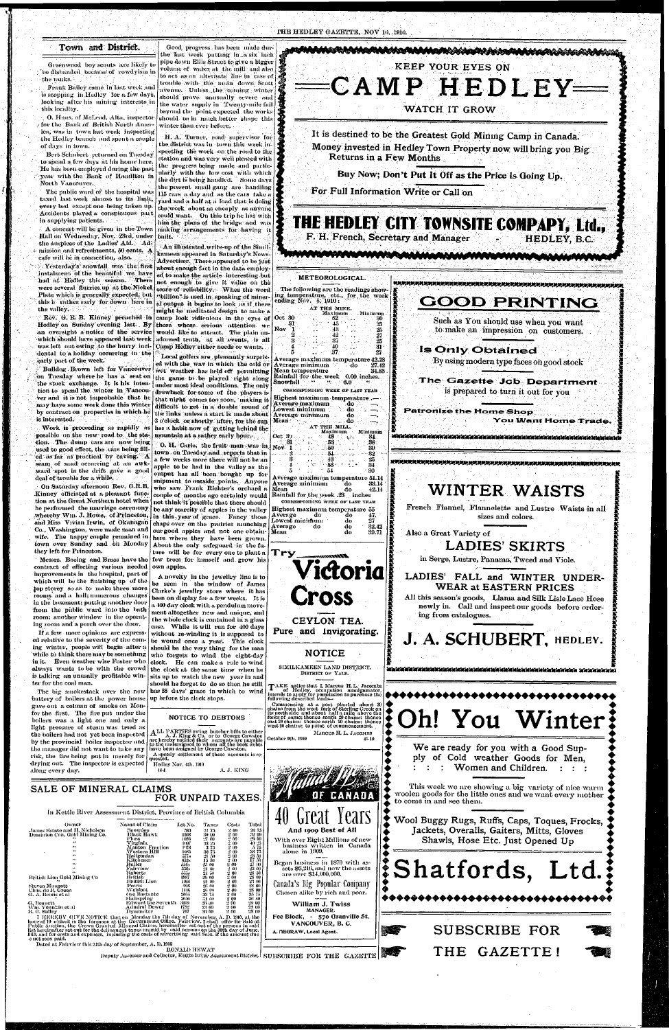## **Town and District.**

**: «** 

Greenwood boy scouts are likely to ; be disbanded because of rowdyism in the ranks. •• ' *"•'•'* 

. Frank Bailey, came, in last week and is stopping in.Hedley for a few days, looking after his mining interests in this locality. .

O. Haus. of McLeod, Alta, inspector - for the Bank of British North America, was in town last week inspecting the Hedley branch and spent a couple of days in Lown.

Bert Schubert returned on Tuesday to spend a few days at his home here. He has been employed during the past year with the Bank of Hamilton in North Vancouver.

The public ward of the hospital was taxed last week almost to its limit, every bed except one being taken up. Accidents played, a conspicuous part in supplying patients.

A concert will be given in the Town Hall on Wednesday, Nov. 23rd, under the auspices of the Ladies' Aid. Ad- $\circ$  mission and refreshments, 50 cents. A cafe will be in connection, also.

Yesterday's snowfall was the first instalment of the beautiful we have had at Hedley this season. There were several 'flumes up at the Nickel' Plate which is generally expected, but this it rather early for down here in the valley.

which should have appeared last week was left out owing to the hurry incidental to a holiday occurring in the early part of the week.

Rev. G. R. B. Kinney preached in camp look ridiculous in the eyes of Oct 30 Hedley on Sunday'evening last., *By*  those whose serious attention we an oversight a-notice of the service would like to attract. The plain un-An illustrated.write-up of the Similkameen appeared in Saturday's News-Advertiser. There appeared to be just about enough fact in the data employed to make the article interesting bub not enough to give it value on the score of reliability. When the word "billion" is used in speaking of mineral output it begins to look as if there might be meditated design to make a adorned truth, at all events, is all Camp Hedley either needs or wants.

Good, progress has been made dur-

on Tuesday where he has a seat on the game to be played right along the stock exchange. It is his inten- junder most ideal conditions. The only tion to spend the winter in Vancou- drawback for some of the players is ver and it is not improbable that he may have some work done this winter difficult to get in a double round of by contract on properties in which he the links unless a start is made about is interested.

possible on the new road to the sta- mountain at a rather early hour. tion. The dump cars are now being used to good effect, the cars being filled as far as practical by caving. A seam of sand occurring at an awkward spot in the drift gave a good deal of trouble for a while.

H. A. Turner, road supervisor for the district was in town this week inspecting the work on the road to the station and was very well pleased with the progress being made and particularly with the low cost with which the dirt is being handled. Some days the present small gang are handling 115 cars a day and as the cars take a yard and a half at a load that is doing the work about as cheaply as anyone could want. On this trip he has with him the plans of the bridge and was making arrangements for having it biiilt.

Bulldog Brown left for Vancouver wet weather has held off permitting Local golfers are , pleasantly surprised with the wav in which the cold or Work is proceeding as rapidly as has a habit now of getting behind the that night comes too soon, making it 2 o'clock or shortly after, for the sun

> O. H. Carle, the fruit man was in town on Tuesday and reports that in a few weeks more there will not be an apple to be had in the valley as the output has all been bought up for snipment to outside points. Anyone who saw Frank Richter's orchard a couple of months ago certainly would

**CORKESPONDING WEEK OF LAST YEAH**  . -<br>Highest maximum temperature<br>Average maximum do

AT THE MILL.

Oct *»j. ..* 48<sup>v</sup> . 34  $\mathbf{31}$   $\mathbf{33}$   $\mathbf{33}$   $\mathbf{34}$   $\mathbf{35}$ Nov 1 .. 50 .. 39  $2 - 32$  .  $-34 - 54 - 42$ 3 .. '..':. 43 -..' 25  $4$  .  $\cdot$  56  $\cdot$  .  $\cdot$  34 5 .. 54 30 Average maximum temperatur e 51.14 Average minimum do 33.14<br>Mean do 42.14 Mean do 42.14<br> **Rainfall for the week .23** inches

and Miss Vivian Irwin, of Okahagan chaps over on the prairies munching Average do Co., Washington, were made man and our good apples and not one obtain- Mean not think it possible that there should be any scarcity of apples in the valley **Highest maximum temperature**  $\bar{5}\bar{2}$ in this year of grace. Fancy those **Average** do **Lowes t m i minim i** 

**47. 2 7 32.4 2**   $39.71$  French Flannel, Flannelette and Lustre Waists in all sizes and colors.

Messrs. Boeing and Brass have the few trees for himself and grow his here Avhere they have been grown. About the only safeguard in the future will be for every one to plant a **Try** 

> DISTRICT OF YALE. TAKE notice that I, Marcus H.L. Jacombs<br>intends to apply for permission amalgamator,<br>intends to apply for permission to purchase the<br>following described lands-commencing at a post planted about 30<br>chains from the west fork of Sterling Creek on<br>its north side and about half a mile above the<br>forks of same; thence south 20 chains; thence<br>cast 20 chains; thence north 20 chains; then MARCUS H. L. JACOMBS October 9th, 1910 41-10

Average maximum temperature 42.28 Average minimum do 27.42<br>Mean temperature 34.85

Rainfall for the week 0.00 inches.<br>Snowfall  $\cdot$   $\cdot$   $\cdot$  6.0

Average maximum — do<br>Lowest minimum — do

Average minimum — do<br>Mean



Taxes 21 75<br>30 00<br>27 00 US 25 :i *75 :m 75*  21 ;\*)0 Jo SO

On Saturday afternoon Rev. G.R.B. Kinney officiated at a pleasant function at the Great Northern hotel when he performed the marriage ceremony whereby Wm. J. Howe, of Princeton, wife. The happy couple remained in town over Sunday and on Monday they left for Princeton. contract of effecting various needed own apples. improvements in the hospital, part of which will be the finishing up of the top storey so as to make three more clarke's jewellry store where it has rooms and a hall; numerous changes in the basement; putting another door from the public ward into the bath room; another window in the operating room and a porch over the door. If a few more opinions are expressed relative to the severity of the coming winter, people will begin after a while to think there may be something in it. Even weather wise Foster who. •always wants to be with the crowd is talking an unusally profitable winter for the coal man. The big smokestack over the newbattery of boilers at the power house gave out a column of smoke on Monfor the first. The fire put under the boilers was a light one and only a light pressure of steam was tried as the boilers had not yet been inspected by the provincial boiler inspector and the manager did not want to take any risk, the fire being put in merely for drying out. The inspector is expected along every day.  $\mathbf{A}$  LL PARTIES owing butcher bills to either<br>arc hereby notified their accounts are payable<br>to the undersigned to whom all the book debts<br>have been assigned by George Cawston. A speedy settlement of these accounts is requested.

the last week putting in a six inch pipe down Ellis Street to give a bigger volume of water at, the mill and also,  $\frac{1}{20}$ to act as an alternate line in case of trouble with the main down, Scott avenue.  $\langle$  Unless, the  $\langle$  coming , winter  $\rangle$ should prove unusually severe and the water supply in Twenty-mile fail beyond the point expected the works should be in much better shape this winter than ever before.

A novelty in the jewellry line is to be seen in the window of James been on display for a few weeks. It is a 400 day clock with a pendulum movement altogether new and unique, and the whole clock is contained in a glass case. While it will run for 400 days without re-winding it is supposed to be wound once a year. This clock should be the very thing for the man who forgets to wind the eight-day clock. He can make a rule to wind the clock at the same time when he sits up to watch the new year in and should he forget to do so then he still has 35 days' grace in which to wind up before the clock stops.

Maximum Minimum

**§** *x-* **If** 

Mean temperature

Lowest minimum  $\,$ 

Mean :

By using modern type faces on good stock

## **The Gazette Job Department**  is prepared to turn it out for you

**Patronize the Home Shop**<br>**i**<br>**I You Want Home Trade.<br><b>imminished in the Shop** 

**You Want Home Trade.** 

CORKESPOXDIXG AVEEK OF LAST **YF.AR** 

**'" d o d o d o d o** 



**Vidoria** 

**Cross** 

**CEYLON TEA. Pure and Invigorating.**  *x* 

**I** 

*x <sup>X</sup>* **•**  *K* 

Also a Great Variety of

**LADIES'SKIRTS** 

NOTICE TO DEBTORS

**LADIES' FALL and WINTER UNDER-WEAR at EASTERN PRICES**  All this season's goods, Llama and Silk Lisle Lace Hose newly in. Gall and inspect our goods before order-

in Serge, Lustre, Panama, Tweed and Viole.

ing from catalogues.

Hedley Nov, Ith, 1910

SALE **OF MINERAL** CLAIMS

**FOR UNPAID** TAXES.

*X X X X* 

**' \*£**  *I* 

*x* 

*x*  **£ £**  *x X X I X*  **I**  *X X X*  **I**   $\mathbf{z}$ *X X I X I X X K* 

 $\check{\bullet}$ 

 $\boldsymbol{\check{\bullet}}$  $\boldsymbol{\check{\mathsf{z}}}$ 

 $\boldsymbol{\check{\bullet}}$ 

n kan katan katan katan katan katan katan katan katan katan katan katan katan katan k

Owner James Estate and H, Nicholson Dominion Con. Gold Mining Co. Name of Claim Snowdcn Dlackllawk Flora irginia Manton Fraction Western Hill Haligonian Kitchener Duller airview Roberts British<br>I}ritish Lion Powis Webfoot Oro Bastantc

Hairspring Edward the Seventh Admiral Dewey Dynamiter



woolen goods for the little ones and we want every mother

RONALD HEWAT

Deputy Assessor and Collector, Kettle River Assessment District | SUBSCRIBE FOR THE GAZETTE

Hritish Lion Gold Mining Co

r of 10 o'clock in the

Steven Mangott<br>Chas, de B. Green<br>G. A. Bemis et al

AVM. YOUNKIN CGAL<br>12. A. Sidlov It. G. Side Sy

•G, Honnctt

Lot No.

- 583<br>1508<br>1097<br>1078

1978 Seksis Seksis 1985<br>651s Alexandrija Seksis 1985<br>1911 - Dili

*•1055*  2(150 ;ii('9 1752 707



2:100 20 00

A. J. KING

2 00 28 00

NOTICE

Canada's Big Popular Company Chosen alike by rich and poor.

William J. Twiss<br>MANAGER.

Fee Block, - 570 Granville St. VANCOUVER, B.C.

A. MEGRAW, Local Agent. .<br>A. Tiegen der der antwerkende andere der antwerkende andere der der antwerkende andere der der antwerkende ant

I HEREBBY GIVE NOTICE that on Monday the 7th day of November, A. D. 1900, at the<br>hour of 10 o'clock in the forenoon at the Government Office, Fairview, I shall offer for Sale at<br>Public Auction, the Crown Granted Mineral Cl Dated at Fairview this 21th day of September, A. D. 1910

Jackets, Overalls, Gaiters, Mitts, Gloves Shawls, Hose Etc. Just Opened Up

In Kettle River Assessment District, Province of British Columbia Costs 2 00 2 00 2 00  $200$ 2 00 2 00 2 00 2 00 2 00 2 00 2 00 2 00 2 00 2 00 2 00 2 00 2 00 2 00 Total 20 75 .'12 00 29 0(1 JO 2.<sup>r</sup> > 5 75 ,-iS 75 23 50<br>17 50 27 (10 *•Si* 00 20 50 as 00 *•Si* 00 28 00 a s 00 Ho 75 ears And 1909 Best of All With over Eight Millions of new business written in Canada alone in 1909. Began business in 1870 with as- $\frac{1}{5}$  sets \$6,216, and now the assets are over \$14,000,000.